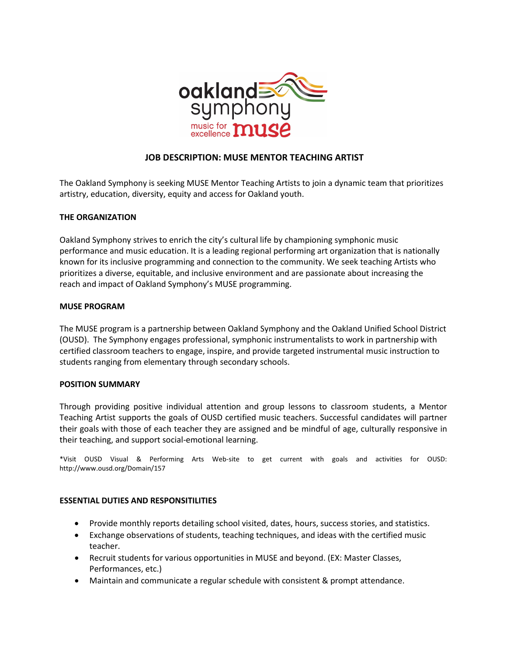

# **JOB DESCRIPTION: MUSE MENTOR TEACHING ARTIST**

The Oakland Symphony is seeking MUSE Mentor Teaching Artists to join a dynamic team that prioritizes artistry, education, diversity, equity and access for Oakland youth.

### **THE ORGANIZATION**

Oakland Symphony strives to enrich the city's cultural life by championing symphonic music performance and music education. It is a leading regional performing art organization that is nationally known for its inclusive programming and connection to the community. We seek teaching Artists who prioritizes a diverse, equitable, and inclusive environment and are passionate about increasing the reach and impact of Oakland Symphony's MUSE programming.

### **MUSE PROGRAM**

The MUSE program is a partnership between Oakland Symphony and the Oakland Unified School District (OUSD). The Symphony engages professional, symphonic instrumentalists to work in partnership with certified classroom teachers to engage, inspire, and provide targeted instrumental music instruction to students ranging from elementary through secondary schools.

# **POSITION SUMMARY**

Through providing positive individual attention and group lessons to classroom students, a Mentor Teaching Artist supports the goals of OUSD certified music teachers. Successful candidates will partner their goals with those of each teacher they are assigned and be mindful of age, culturally responsive in their teaching, and support social-emotional learning.

\*Visit OUSD Visual & Performing Arts Web-site to get current with goals and activities for OUSD: http://www.ousd.org/Domain/157

# **ESSENTIAL DUTIES AND RESPONSITILITIES**

- Provide monthly reports detailing school visited, dates, hours, success stories, and statistics.
- Exchange observations of students, teaching techniques, and ideas with the certified music teacher.
- Recruit students for various opportunities in MUSE and beyond. (EX: Master Classes, Performances, etc.)
- Maintain and communicate a regular schedule with consistent & prompt attendance.